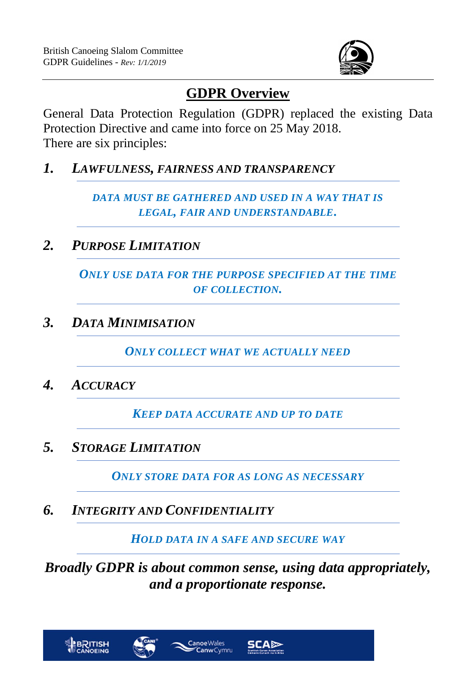

## **GDPR Overview**

General Data Protection Regulation (GDPR) replaced the existing Data Protection Directive and came into force on 25 May 2018. There are six principles:

*1. LAWFULNESS, FAIRNESS AND TRANSPARENCY*

*DATA MUST BE GATHERED AND USED IN A WAY THAT IS LEGAL, FAIR AND UNDERSTANDABLE.*

*2. PURPOSE LIMITATION*

*ONLY USE DATA FOR THE PURPOSE SPECIFIED AT THE TIME OF COLLECTION.*

*3. DATA MINIMISATION*

*ONLY COLLECT WHAT WE ACTUALLY NEED*

*4. ACCURACY*

*KEEP DATA ACCURATE AND UP TO DATE*

*5. STORAGE LIMITATION*

*ONLY STORE DATA FOR AS LONG AS NECESSARY*

*6. INTEGRITY AND CONFIDENTIALITY*

*HOLD DATA IN A SAFE AND SECURE WAY*

*Broadly GDPR is about common sense, using data appropriately, and a proportionate response.*